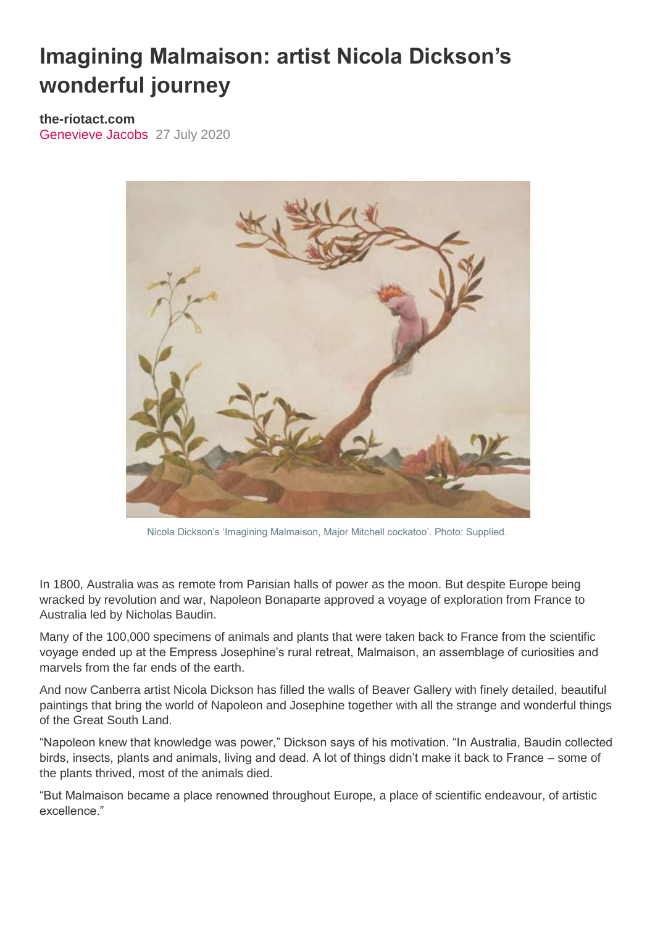## **Imagining Malmaison: artist Nicola Dickson's wonderful journey**

**the-riotact.com** [Genevieve Jacobs](https://the-riotact.com/author/genevieve-jacobs) 27 July 2020



Nicola Dickson's 'Imagining Malmaison, Major Mitchell cockatoo'. Photo: Supplied.

In 1800, Australia was as remote from Parisian halls of power as the moon. But despite Europe being wracked by revolution and war, Napoleon Bonaparte approved a voyage of exploration from France to Australia led by Nicholas Baudin.

Many of the 100,000 specimens of animals and plants that were taken back to France from the scientific voyage ended up at the Empress Josephine's rural retreat, Malmaison, an assemblage of curiosities and marvels from the far ends of the earth.

And now Canberra artist Nicola Dickson has filled the walls of Beaver Gallery with finely detailed, beautiful paintings that bring the world of Napoleon and Josephine together with all the strange and wonderful things of the Great South Land.

"Napoleon knew that knowledge was power," Dickson says of his motivation. "In Australia, Baudin collected birds, insects, plants and animals, living and dead. A lot of things didn't make it back to France – some of the plants thrived, most of the animals died.

"But Malmaison became a place renowned throughout Europe, a place of scientific endeavour, of artistic excellence."